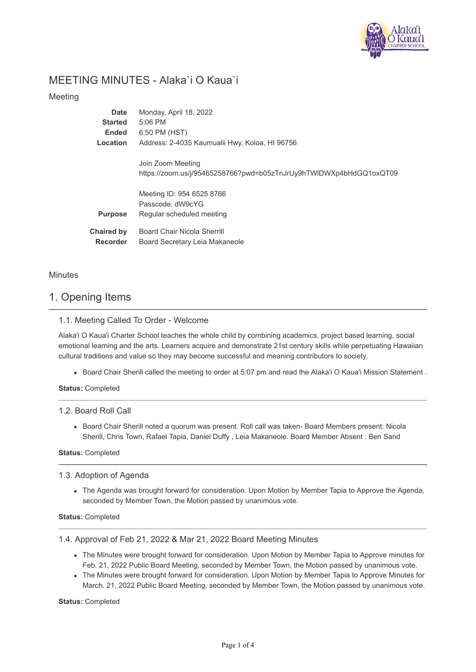

# MEETING MINUTES - Alaka`i O Kaua`i

## Meeting

| <b>Date</b>                          | Monday, April 18, 2022                                                                  |
|--------------------------------------|-----------------------------------------------------------------------------------------|
| <b>Started</b>                       | $5:06$ PM                                                                               |
| Ended                                | 6:50 PM (HST)                                                                           |
| Location                             | Address: 2-4035 Kaumualii Hwy, Koloa, HI 96756                                          |
|                                      | Join Zoom Meeting<br>https://zoom.us/j/95465258766?pwd=b05zTnJrUy9hTWIDWXp4bHdGQ1oxQT09 |
| <b>Purpose</b>                       | Meeting ID: 954 6525 8766<br>Passcode: dW9cYG<br>Regular scheduled meeting              |
| <b>Chaired by</b><br><b>Recorder</b> | <b>Board Chair Nicola Sherrill</b><br>Board Secretary Leia Makaneole                    |

## **Minutes**

# 1. Opening Items

## 1.1. Meeting Called To Order - Welcome

Alaka'i O Kaua'i Charter School teaches the whole child by combining academics, project based learning, social emotional learning and the arts. Learners acquire and demonstrate 21st century skills while perpetuating Hawaiian cultural traditions and value so they may become successful and meaning contributors to society.

Board Chair Sherill called the meeting to order at 5:07 pm and read the Alaka'i O Kaua'i Mission Statement.

**Status:** Completed

## 1.2. Board Roll Call

Board Chair Sherill noted a quorum was present. Roll call was taken- Board Members present: Nicola Sherill, Chris Town, Rafael Tapia, Daniel Duffy , Leia Makaneole. Board Member Absent : Ben Sand

**Status:** Completed

### 1.3. Adoption of Agenda

The Agenda was brought forward for consideration. Upon Motion by Member Tapia to Approve the Agenda, seconded by Member Town, the Motion passed by unanimous vote.

## **Status:** Completed

1.4. Approval of Feb 21, 2022 & Mar 21, 2022 Board Meeting Minutes

- The Minutes were brought forward for consideration. Upon Motion by Member Tapia to Approve minutes for Feb. 21, 2022 Public Board Meeting, seconded by Member Town, the Motion passed by unanimous vote.
- The Minutes were brought forward for consideration. Upon Motion by Member Tapia to Approve Minutes for March. 21, 2022 Public Board Meeting, seconded by Member Town, the Motion passed by unanimous vote.

**Status:** Completed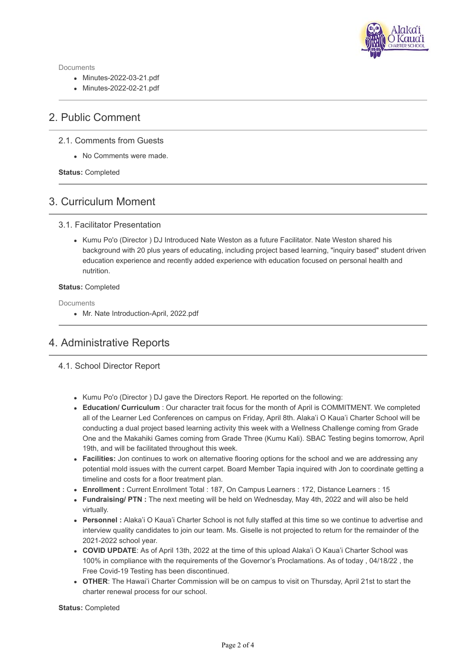

Documents

- Minutes-2022-03-21.pdf
- Minutes-2022-02-21.pdf

# 2. Public Comment

### 2.1. Comments from Guests

No Comments were made.

**Status:** Completed

# 3. Curriculum Moment

### 3.1. Facilitator Presentation

• Kumu Po'o (Director ) DJ Introduced Nate Weston as a future Facilitator. Nate Weston shared his background with 20 plus years of educating, including project based learning, "inquiry based" student driven education experience and recently added experience with education focused on personal health and nutrition.

#### **Status:** Completed

Documents

Mr. Nate Introduction-April, 2022.pdf

# 4. Administrative Reports

## 4.1. School Director Report

- Kumu Po'o (Director ) DJ gave the Directors Report. He reported on the following:
- **Education/ Curriculum** : Our character trait focus for the month of April is COMMITMENT. We completed all of the Learner Led Conferences on campus on Friday, April 8th. Alaka'i O Kaua'i Charter School will be conducting a dual project based learning activity this week with a Wellness Challenge coming from Grade One and the Makahiki Games coming from Grade Three (Kumu Kali). SBAC Testing begins tomorrow, April 19th, and will be facilitated throughout this week.
- **Facilities:** Jon continues to work on alternative flooring options for the school and we are addressing any potential mold issues with the current carpet. Board Member Tapia inquired with Jon to coordinate getting a timeline and costs for a floor treatment plan.
- **Enrollment :** Current Enrollment Total : 187, On Campus Learners : 172, Distance Learners : 15
- **Fundraising/ PTN :** The next meeting will be held on Wednesday, May 4th, 2022 and will also be held virtually.
- **Personnel :** Alaka'i O Kaua'i Charter School is not fully staffed at this time so we continue to advertise and interview quality candidates to join our team. Ms. Giselle is not projected to return for the remainder of the 2021-2022 school year.
- **COVID UPDATE**: As of April 13th, 2022 at the time of this upload Alaka'i O Kaua'i Charter School was 100% in compliance with the requirements of the Governor's Proclamations. As of today , 04/18/22 , the Free Covid-19 Testing has been discontinued.
- **OTHER**: The Hawai'i Charter Commission will be on campus to visit on Thursday, April 21st to start the charter renewal process for our school.

**Status:** Completed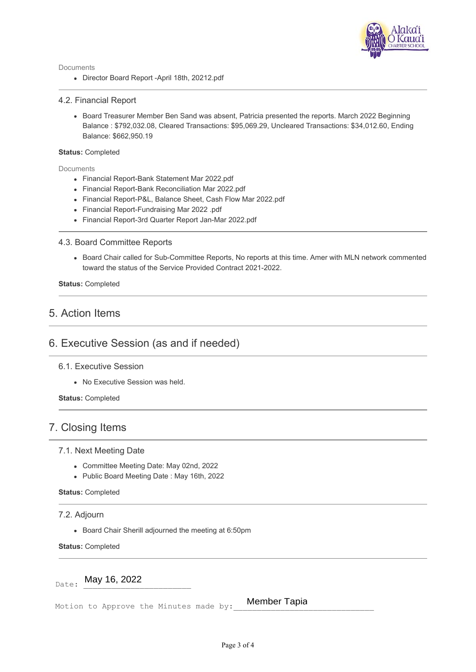

### 4.2. Financial Report

• Board Treasurer Member Ben Sand was absent, Patricia presented the reports. March 2022 Beginning Balance : \$792,032.08, Cleared Transactions: \$95,069.29, Uncleared Transactions: \$34,012.60, Ending Balance: \$662,950.19

#### **Status:** Completed

Documents

- Financial Report-Bank Statement Mar 2022.pdf
- Financial Report-Bank Reconciliation Mar 2022.pdf
- Financial Report-P&L, Balance Sheet, Cash Flow Mar 2022.pdf
- Financial Report-Fundraising Mar 2022 .pdf
- Financial Report-3rd Quarter Report Jan-Mar 2022.pdf

### 4.3. Board Committee Reports

Board Chair called for Sub-Committee Reports, No reports at this time. Amer with MLN network commented toward the status of the Service Provided Contract 2021-2022.

**Status:** Completed

## 5. Action Items

# 6. Executive Session (as and if needed)

### 6.1. Executive Session

No Executive Session was held.

**Status:** Completed

## 7. Closing Items

#### 7.1. Next Meeting Date

- Committee Meeting Date: May 02nd, 2022
- Public Board Meeting Date : May 16th, 2022

### **Status:** Completed

#### 7.2. Adjourn

Board Chair Sherill adjourned the meeting at 6:50pm

**Status:** Completed

 $_{\text{Date}}$ : May 16, 2022

Motion to Approve the Minutes made by:

Member Tapia